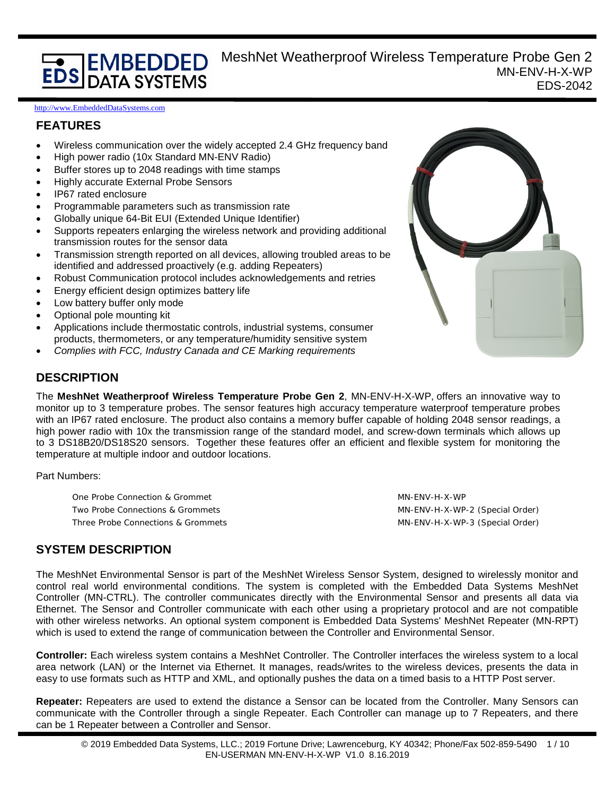#### **EDS DATA SYSTEMS** MeshNet Weatherproof Wireless Temperature Probe Gen 2 MN-ENV-H-X-WP EDS-2042

#### [http://www.EmbeddedDataSystems.com](http://www.embeddeddatasystems.com/)

### **FEATURES**

- Wireless communication over the widely accepted 2.4 GHz frequency band
- High power radio (10x Standard MN-ENV Radio)
- Buffer stores up to 2048 readings with time stamps
- Highly accurate External Probe Sensors
- IP67 rated enclosure
- Programmable parameters such as transmission rate
- Globally unique 64-Bit EUI (Extended Unique Identifier)
- Supports repeaters enlarging the wireless network and providing additional transmission routes for the sensor data
- Transmission strength reported on all devices, allowing troubled areas to be identified and addressed proactively (e.g. adding Repeaters)
- Robust Communication protocol includes acknowledgements and retries
- Energy efficient design optimizes battery life
- Low battery buffer only mode
- Optional pole mounting kit
- Applications include thermostatic controls, industrial systems, consumer products, thermometers, or any temperature/humidity sensitive system
- *Complies with FCC, Industry Canada and CE Marking requirements*

# **DESCRIPTION**

The **MeshNet Weatherproof Wireless Temperature Probe Gen 2**, MN-ENV-H-X-WP, offers an innovative way to monitor up to 3 temperature probes. The sensor features high accuracy temperature waterproof temperature probes with an IP67 rated enclosure. The product also contains a memory buffer capable of holding 2048 sensor readings, a high power radio with 10x the transmission range of the standard model, and screw-down terminals which allows up to 3 DS18B20/DS18S20 sensors. Together these features offer an efficient and flexible system for monitoring the temperature at multiple indoor and outdoor locations.

Part Numbers:

One Probe Connection & Grommet MN-ENV-H-X-WP Two Probe Connections & Grommets MN-ENV-H-X-WP-2 (Special Order) Three Probe Connections & Grommets MN-ENV-H-X-WP-3 (Special Order)

# **SYSTEM DESCRIPTION**

The MeshNet Environmental Sensor is part of the MeshNet Wireless Sensor System, designed to wirelessly monitor and control real world environmental conditions. The system is completed with the Embedded Data Systems MeshNet Controller (MN-CTRL). The controller communicates directly with the Environmental Sensor and presents all data via Ethernet. The Sensor and Controller communicate with each other using a proprietary protocol and are not compatible with other wireless networks. An optional system component is Embedded Data Systems' MeshNet Repeater (MN-RPT) which is used to extend the range of communication between the Controller and Environmental Sensor.

**Controller:** Each wireless system contains a MeshNet Controller. The Controller interfaces the wireless system to a local area network (LAN) or the Internet via Ethernet. It manages, reads/writes to the wireless devices, presents the data in easy to use formats such as HTTP and XML, and optionally pushes the data on a timed basis to a HTTP Post server.

**Repeater:** Repeaters are used to extend the distance a Sensor can be located from the Controller. Many Sensors can communicate with the Controller through a single Repeater. Each Controller can manage up to 7 Repeaters, and there can be 1 Repeater between a Controller and Sensor.

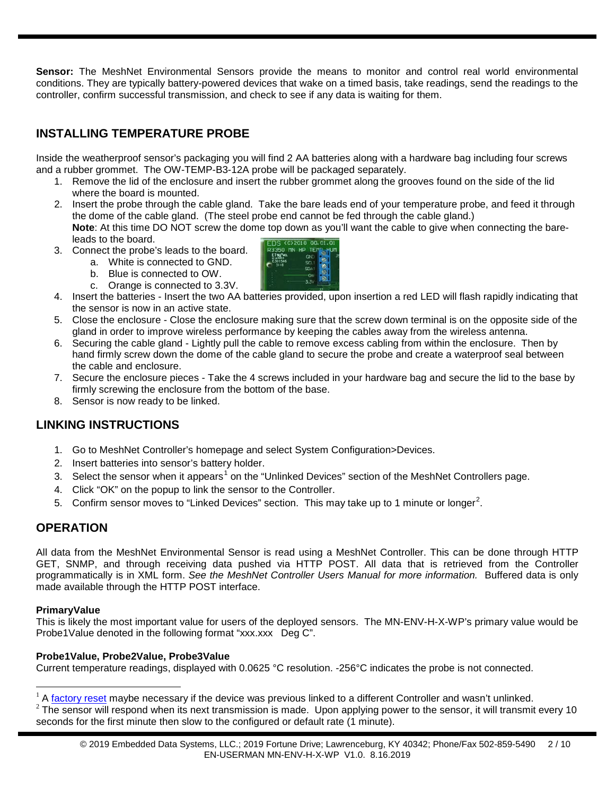**Sensor:** The MeshNet Environmental Sensors provide the means to monitor and control real world environmental conditions. They are typically battery-powered devices that wake on a timed basis, take readings, send the readings to the controller, confirm successful transmission, and check to see if any data is waiting for them.

# **INSTALLING TEMPERATURE PROBE**

Inside the weatherproof sensor's packaging you will find 2 AA batteries along with a hardware bag including four screws and a rubber grommet. The OW-TEMP-B3-12A probe will be packaged separately.

- 1. Remove the lid of the enclosure and insert the rubber grommet along the grooves found on the side of the lid where the board is mounted.
- 2. Insert the probe through the cable gland. Take the bare leads end of your temperature probe, and feed it through the dome of the cable gland. (The steel probe end cannot be fed through the cable gland.) **Note**: At this time DO NOT screw the dome top down as you'll want the cable to give when connecting the bareleads to the board.
- 3. Connect the probe's leads to the board.
	- a. White is connected to GND.
	- b. Blue is connected to OW.
	- c. Orange is connected to 3.3V.
- 4. Insert the batteries Insert the two AA batteries provided, upon insertion a red LED will flash rapidly indicating that the sensor is now in an active state.
- 5. Close the enclosure Close the enclosure making sure that the screw down terminal is on the opposite side of the gland in order to improve wireless performance by keeping the cables away from the wireless antenna.
- 6. Securing the cable gland Lightly pull the cable to remove excess cabling from within the enclosure. Then by hand firmly screw down the dome of the cable gland to secure the probe and create a waterproof seal between the cable and enclosure.
- 7. Secure the enclosure pieces Take the 4 screws included in your hardware bag and secure the lid to the base by firmly screwing the enclosure from the bottom of the base.
- 8. Sensor is now ready to be linked.

# **LINKING INSTRUCTIONS**

- 1. Go to MeshNet Controller's homepage and select System Configuration>Devices.
- 2. Insert batteries into sensor's battery holder.
- 3. Select the sensor when it appears<sup>[1](#page-1-0)</sup> on the "Unlinked Devices" section of the MeshNet Controllers page.
- 4. Click "OK" on the popup to link the sensor to the Controller.
- 5. Confirm sensor moves to "Linked Devices" section. This may take up to 1 minute or longer<sup>[2](#page-1-1)</sup>.

# **OPERATION**

All data from the MeshNet Environmental Sensor is read using a MeshNet Controller. This can be done through HTTP GET, SNMP, and through receiving data pushed via HTTP POST. All data that is retrieved from the Controller programmatically is in XML form. *See the MeshNet Controller Users Manual for more information.* Buffered data is only made available through the HTTP POST interface.

#### **PrimaryValue**

This is likely the most important value for users of the deployed sensors. The MN-ENV-H-X-WP's primary value would be Probe1Value denoted in the following format "xxx.xxx Deg C".

#### **Probe1Value, Probe2Value, Probe3Value**

Current temperature readings, displayed with 0.0625 °C resolution. -256°C indicates the probe is not connected.

<span id="page-1-1"></span> $2$  The sensor will respond when its next transmission is made. Upon applying power to the sensor, it will transmit every 10 seconds for the first minute then slow to the configured or default rate (1 minute).



<span id="page-1-0"></span><sup>&</sup>lt;sup>1</sup> A factory reset maybe necessary if the device was previous linked to a different Controller and wasn't unlinked.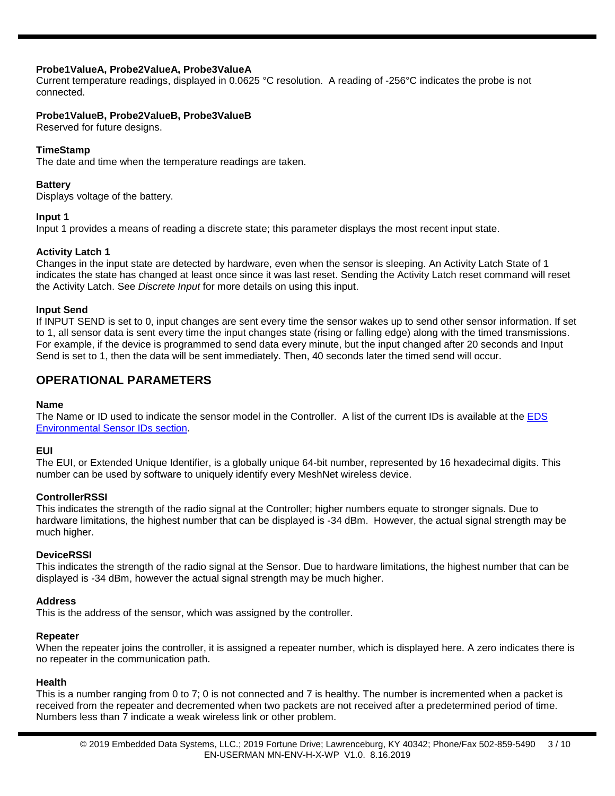#### **Probe1ValueA, Probe2ValueA, Probe3ValueA**

Current temperature readings, displayed in 0.0625 °C resolution. A reading of -256°C indicates the probe is not connected.

#### **Probe1ValueB, Probe2ValueB, Probe3ValueB**

Reserved for future designs.

#### **TimeStamp**

The date and time when the temperature readings are taken.

#### **Battery**

Displays voltage of the battery.

#### **Input 1**

Input 1 provides a means of reading a discrete state; this parameter displays the most recent input state.

#### **Activity Latch 1**

Changes in the input state are detected by hardware, even when the sensor is sleeping. An Activity Latch State of 1 indicates the state has changed at least once since it was last reset. Sending the Activity Latch reset command will reset the Activity Latch. See *Discrete Input* for more details on using this input.

#### **Input Send**

If INPUT SEND is set to 0, input changes are sent every time the sensor wakes up to send other sensor information. If set to 1, all sensor data is sent every time the input changes state (rising or falling edge) along with the timed transmissions. For example, if the device is programmed to send data every minute, but the input changed after 20 seconds and Input Send is set to 1, then the data will be sent immediately. Then, 40 seconds later the timed send will occur.

# **OPERATIONAL PARAMETERS**

#### **Name**

The Name or ID used to indicate the sensor model in the Controller. A list of the current IDs is available at the [EDS](#page-8-0)  [Environmental Sensor IDs section.](#page-8-0)

#### **EUI**

The EUI, or Extended Unique Identifier, is a globally unique 64-bit number, represented by 16 hexadecimal digits. This number can be used by software to uniquely identify every MeshNet wireless device.

#### **ControllerRSSI**

This indicates the strength of the radio signal at the Controller; higher numbers equate to stronger signals. Due to hardware limitations, the highest number that can be displayed is -34 dBm. However, the actual signal strength may be much higher.

#### **DeviceRSSI**

This indicates the strength of the radio signal at the Sensor. Due to hardware limitations, the highest number that can be displayed is -34 dBm, however the actual signal strength may be much higher.

#### **Address**

This is the address of the sensor, which was assigned by the controller.

#### **Repeater**

When the repeater joins the controller, it is assigned a repeater number, which is displayed here. A zero indicates there is no repeater in the communication path.

#### **Health**

This is a number ranging from 0 to 7; 0 is not connected and 7 is healthy. The number is incremented when a packet is received from the repeater and decremented when two packets are not received after a predetermined period of time. Numbers less than 7 indicate a weak wireless link or other problem.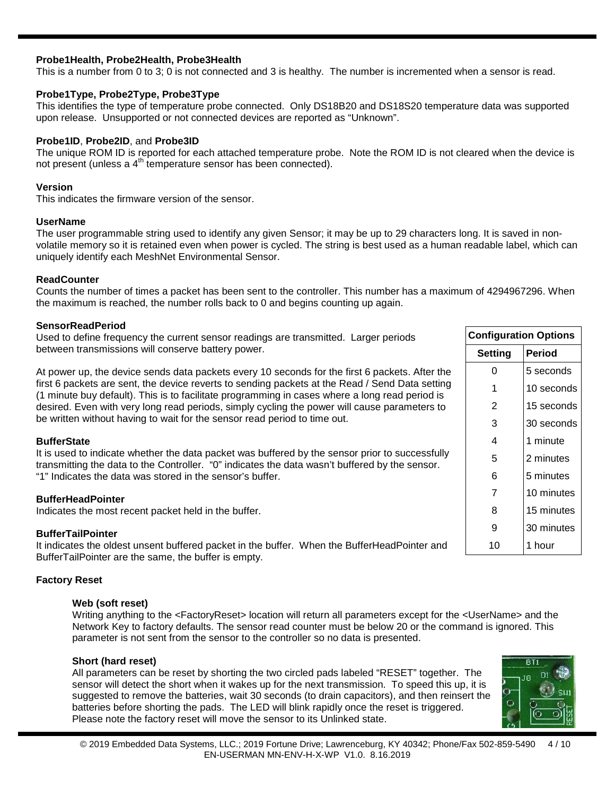#### **Probe1Health, Probe2Health, Probe3Health**

This is a number from 0 to 3; 0 is not connected and 3 is healthy. The number is incremented when a sensor is read.

#### **Probe1Type, Probe2Type, Probe3Type**

This identifies the type of temperature probe connected. Only DS18B20 and DS18S20 temperature data was supported upon release. Unsupported or not connected devices are reported as "Unknown".

#### **Probe1ID**, **Probe2ID**, and **Probe3ID**

The unique ROM ID is reported for each attached temperature probe. Note the ROM ID is not cleared when the device is not present (unless a 4<sup>th</sup> temperature sensor has been connected).

#### **Version**

This indicates the firmware version of the sensor.

### **UserName**

The user programmable string used to identify any given Sensor; it may be up to 29 characters long. It is saved in nonvolatile memory so it is retained even when power is cycled. The string is best used as a human readable label, which can uniquely identify each MeshNet Environmental Sensor.

#### **ReadCounter**

Counts the number of times a packet has been sent to the controller. This number has a maximum of 4294967296. When the maximum is reached, the number rolls back to 0 and begins counting up again.

#### **SensorReadPeriod**

Used to define frequency the current sensor readings are transmitted. Larger periods between transmissions will conserve battery power.

At power up, the device sends data packets every 10 seconds for the first 6 packets. After the first 6 packets are sent, the device reverts to sending packets at the Read / Send Data setting (1 minute buy default). This is to facilitate programming in cases where a long read period is desired. Even with very long read periods, simply cycling the power will cause parameters to be written without having to wait for the sensor read period to time out. It is used to indicate whether the data packet was buffered by the sensor prior to successfully

**BufferState**

**BufferHeadPointer** Indicates the most recent packet held in the buffer.

"1" Indicates the data was stored in the sensor's buffer.

#### **BufferTailPointer**

It indicates the oldest unsent buffered packet in the buffer. When the BufferHeadPointer and BufferTailPointer are the same, the buffer is empty.

transmitting the data to the Controller. "0" indicates the data wasn't buffered by the sensor.

#### <span id="page-3-0"></span>**Factory Reset**

#### **Web (soft reset)**

Writing anything to the <FactoryReset> location will return all parameters except for the <UserName> and the Network Key to factory defaults. The sensor read counter must be below 20 or the command is ignored. This parameter is not sent from the sensor to the controller so no data is presented.

#### **Short (hard reset)**

All parameters can be reset by shorting the two circled pads labeled "RESET" together. The sensor will detect the short when it wakes up for the next transmission. To speed this up, it is suggested to remove the batteries, wait 30 seconds (to drain capacitors), and then reinsert the batteries before shorting the pads. The LED will blink rapidly once the reset is triggered. Please note the factory reset will move the sensor to its Unlinked state.



| <b>Configuration Options</b> |            |  |  |  |
|------------------------------|------------|--|--|--|
| Period<br>Setting            |            |  |  |  |
| ი                            | 5 seconds  |  |  |  |
| 1                            | 10 seconds |  |  |  |
| 2                            | 15 seconds |  |  |  |
| 3                            | 30 seconds |  |  |  |
| 4                            | 1 minute   |  |  |  |
| 5                            | 2 minutes  |  |  |  |
| 6                            | 5 minutes  |  |  |  |
| 7                            | 10 minutes |  |  |  |
| 8                            | 15 minutes |  |  |  |
| 9                            | 30 minutes |  |  |  |
| 10                           | 1 hour     |  |  |  |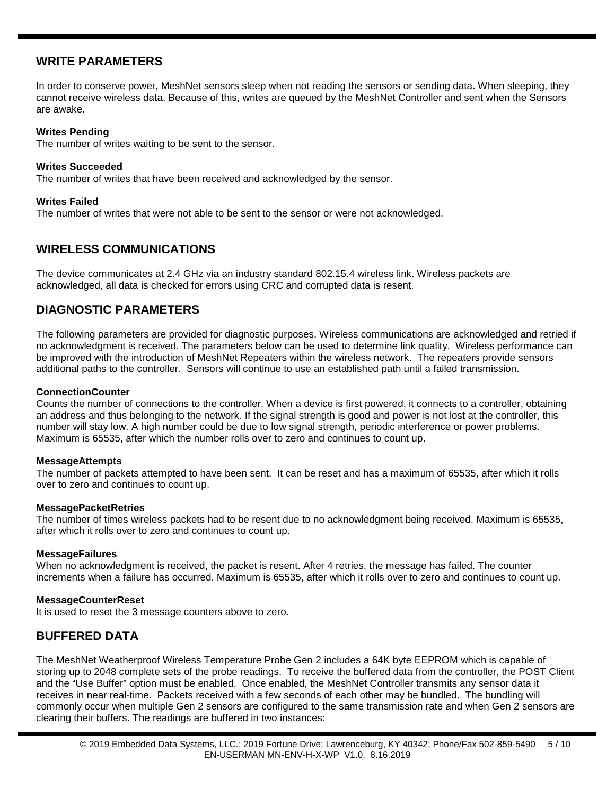# **WRITE PARAMETERS**

In order to conserve power, MeshNet sensors sleep when not reading the sensors or sending data. When sleeping, they cannot receive wireless data. Because of this, writes are queued by the MeshNet Controller and sent when the Sensors are awake.

#### **Writes Pending**

The number of writes waiting to be sent to the sensor.

#### **Writes Succeeded**

The number of writes that have been received and acknowledged by the sensor.

#### **Writes Failed**

The number of writes that were not able to be sent to the sensor or were not acknowledged.

# **WIRELESS COMMUNICATIONS**

The device communicates at 2.4 GHz via an industry standard 802.15.4 wireless link. Wireless packets are acknowledged, all data is checked for errors using CRC and corrupted data is resent.

# **DIAGNOSTIC PARAMETERS**

The following parameters are provided for diagnostic purposes. Wireless communications are acknowledged and retried if no acknowledgment is received. The parameters below can be used to determine link quality. Wireless performance can be improved with the introduction of MeshNet Repeaters within the wireless network. The repeaters provide sensors additional paths to the controller. Sensors will continue to use an established path until a failed transmission.

#### **ConnectionCounter**

Counts the number of connections to the controller. When a device is first powered, it connects to a controller, obtaining an address and thus belonging to the network. If the signal strength is good and power is not lost at the controller, this number will stay low. A high number could be due to low signal strength, periodic interference or power problems. Maximum is 65535, after which the number rolls over to zero and continues to count up.

#### **MessageAttempts**

The number of packets attempted to have been sent. It can be reset and has a maximum of 65535, after which it rolls over to zero and continues to count up.

#### **MessagePacketRetries**

The number of times wireless packets had to be resent due to no acknowledgment being received. Maximum is 65535, after which it rolls over to zero and continues to count up.

#### **MessageFailures**

When no acknowledgment is received, the packet is resent. After 4 retries, the message has failed. The counter increments when a failure has occurred. Maximum is 65535, after which it rolls over to zero and continues to count up.

#### **MessageCounterReset**

It is used to reset the 3 message counters above to zero.

# **BUFFERED DATA**

The MeshNet Weatherproof Wireless Temperature Probe Gen 2 includes a 64K byte EEPROM which is capable of storing up to 2048 complete sets of the probe readings. To receive the buffered data from the controller, the POST Client and the "Use Buffer" option must be enabled. Once enabled, the MeshNet Controller transmits any sensor data it receives in near real-time. Packets received with a few seconds of each other may be bundled. The bundling will commonly occur when multiple Gen 2 sensors are configured to the same transmission rate and when Gen 2 sensors are clearing their buffers. The readings are buffered in two instances: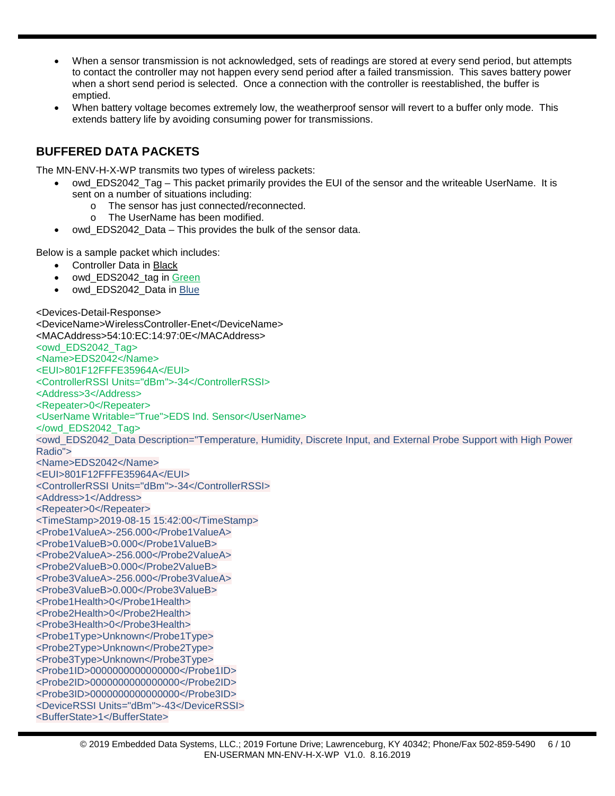- When a sensor transmission is not acknowledged, sets of readings are stored at every send period, but attempts to contact the controller may not happen every send period after a failed transmission. This saves battery power when a short send period is selected. Once a connection with the controller is reestablished, the buffer is emptied.
- When battery voltage becomes extremely low, the weatherproof sensor will revert to a buffer only mode. This extends battery life by avoiding consuming power for transmissions.

# **BUFFERED DATA PACKETS**

The MN-ENV-H-X-WP transmits two types of wireless packets:

- owd\_EDS2042\_Tag This packet primarily provides the EUI of the sensor and the writeable UserName. It is sent on a number of situations including:
	- o The sensor has just connected/reconnected.<br>○ The UserName has been modified.
	- The UserName has been modified.
- owd EDS2042 Data This provides the bulk of the sensor data.

Below is a sample packet which includes:

- Controller Data in Black
- owd\_EDS2042\_tag in Green
- owd\_EDS2042\_Data in Blue

```
<Devices-Detail-Response>
<DeviceName>WirelessController-Enet</DeviceName>
<MACAddress>54:10:EC:14:97:0E</MACAddress>
<owd_EDS2042_Tag>
<Name>EDS2042</Name>
<EUI>801F12FFFE35964A</EUI>
<ControllerRSSI Units="dBm">-34</ControllerRSSI>
<Address>3</Address>
<Repeater>0</Repeater>
<UserName Writable="True">EDS Ind. Sensor</UserName>
</owd_EDS2042_Tag>
<owd_EDS2042_Data Description="Temperature, Humidity, Discrete Input, and External Probe Support with High Power 
Radio">
<Name>EDS2042</Name>
<EUI>801F12FFFE35964A</EUI>
<ControllerRSSI Units="dBm">-34</ControllerRSSI>
<Address>1</Address>
<Repeater>0</Repeater>
<TimeStamp>2019-08-15 15:42:00</TimeStamp>
<Probe1ValueA>-256.000</Probe1ValueA>
<Probe1ValueB>0.000</Probe1ValueB>
<Probe2ValueA>-256.000</Probe2ValueA>
<Probe2ValueB>0.000</Probe2ValueB>
<Probe3ValueA>-256.000</Probe3ValueA>
<Probe3ValueB>0.000</Probe3ValueB>
<Probe1Health>0</Probe1Health>
<Probe2Health>0</Probe2Health>
<Probe3Health>0</Probe3Health>
<Probe1Type>Unknown</Probe1Type>
<Probe2Type>Unknown</Probe2Type>
<Probe3Type>Unknown</Probe3Type>
<Probe1ID>0000000000000000</Probe1ID>
<Probe2ID>0000000000000000</Probe2ID>
<Probe3ID>0000000000000000</Probe3ID>
<DeviceRSSI Units="dBm">-43</DeviceRSSI>
<BufferState>1</BufferState>
```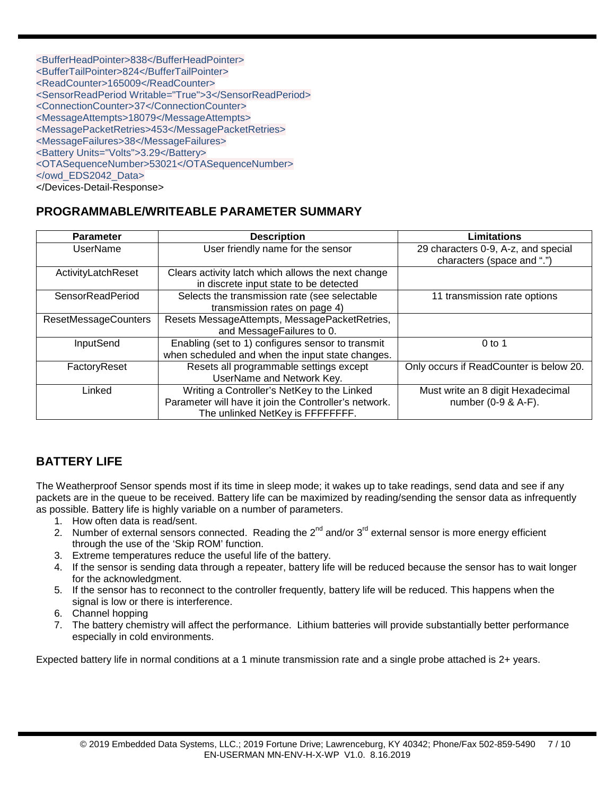| <bufferheadpointer>838</bufferheadpointer>             |
|--------------------------------------------------------|
| <buffertailpointer>824</buffertailpointer>             |
| <readcounter>165009</readcounter>                      |
| <sensorreadperiod writable="True">3</sensorreadperiod> |
| <connectioncounter>37</connectioncounter>              |
| <messageattempts>18079</messageattempts>               |
| <messagepacketretries>453</messagepacketretries>       |
| <messagefailures>38</messagefailures>                  |
| <battery units="Volts">3.29</battery>                  |
| <otasequencenumber>53021</otasequencenumber>           |
|                                                        |
|                                                        |

# **PROGRAMMABLE/WRITEABLE PARAMETER SUMMARY**

| <b>Parameter</b>            | <b>Description</b>                                    | <b>Limitations</b>                      |
|-----------------------------|-------------------------------------------------------|-----------------------------------------|
| <b>UserName</b>             | User friendly name for the sensor                     | 29 characters 0-9, A-z, and special     |
|                             |                                                       | characters (space and ".")              |
| ActivityLatchReset          | Clears activity latch which allows the next change    |                                         |
|                             | in discrete input state to be detected                |                                         |
| SensorReadPeriod            | Selects the transmission rate (see selectable         | 11 transmission rate options            |
|                             | transmission rates on page 4)                         |                                         |
| <b>ResetMessageCounters</b> | Resets MessageAttempts, MessagePacketRetries,         |                                         |
|                             | and MessageFailures to 0.                             |                                         |
| InputSend                   | Enabling (set to 1) configures sensor to transmit     | $0$ to 1                                |
|                             | when scheduled and when the input state changes.      |                                         |
| FactoryReset                | Resets all programmable settings except               | Only occurs if ReadCounter is below 20. |
|                             | UserName and Network Key.                             |                                         |
| Linked                      | Writing a Controller's NetKey to the Linked           | Must write an 8 digit Hexadecimal       |
|                             | Parameter will have it join the Controller's network. | number (0-9 & A-F).                     |
|                             | The unlinked NetKey is FFFFFFFF.                      |                                         |

# **BATTERY LIFE**

The Weatherproof Sensor spends most if its time in sleep mode; it wakes up to take readings, send data and see if any packets are in the queue to be received. Battery life can be maximized by reading/sending the sensor data as infrequently as possible. Battery life is highly variable on a number of parameters.

- 1. How often data is read/sent.
- 2. Number of external sensors connected. Reading the  $2^{nd}$  and/or  $3^{rd}$  external sensor is more energy efficient through the use of the 'Skip ROM' function.
- 3. Extreme temperatures reduce the useful life of the battery.
- 4. If the sensor is sending data through a repeater, battery life will be reduced because the sensor has to wait longer for the acknowledgment.
- 5. If the sensor has to reconnect to the controller frequently, battery life will be reduced. This happens when the signal is low or there is interference.
- 6. Channel hopping
- 7. The battery chemistry will affect the performance. Lithium batteries will provide substantially better performance especially in cold environments.

Expected battery life in normal conditions at a 1 minute transmission rate and a single probe attached is 2+ years.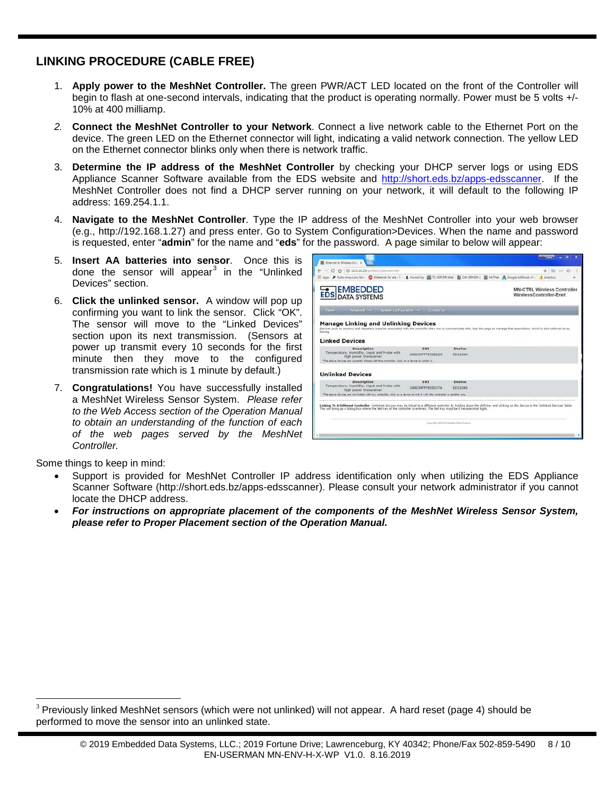# **LINKING PROCEDURE (CABLE FREE)**

- 1. **Apply power to the MeshNet Controller.** The green PWR/ACT LED located on the front of the Controller will begin to flash at one-second intervals, indicating that the product is operating normally. Power must be 5 volts +/- 10% at 400 milliamp.
- *2.* **Connect the MeshNet Controller to your Network**. Connect a live network cable to the Ethernet Port on the device. The green LED on the Ethernet connector will light, indicating a valid network connection. The yellow LED on the Ethernet connector blinks only when there is network traffic.
- 3. **Determine the IP address of the MeshNet Controller** by checking your DHCP server logs or using EDS Appliance Scanner Software available from the EDS website and [http://short.eds.bz/apps-edsscanner.](http://short.eds.bz/apps-edsscanner) If the MeshNet Controller does not find a DHCP server running on your network, it will default to the following IP address: 169.254.1.1.
- 4. **Navigate to the MeshNet Controller**. Type the IP address of the MeshNet Controller into your web browser (e.g., http://192.168.1.27) and press enter. Go to System Configuration>Devices. When the name and password is requested, enter "**admin**" for the name and "**eds**" for the password. A page similar to below will appear:
- 5. **Insert AA batteries into sensor**. Once this is done the sensor will appear<sup>[3](#page-7-0)</sup> in the "Unlinked" Devices" section.
- 6. **Click the unlinked sensor.** A window will pop up confirming you want to link the sensor. Click "OK". The sensor will move to the "Linked Devices" section upon its next transmission. (Sensors at power up transmit every 10 seconds for the first minute then they move to the configured transmission rate which is 1 minute by default.)
- 7. **Congratulations!** You have successfully installed a MeshNet Wireless Sensor System. *Please refer to the Web Access section of the Operation Manual to obtain an understanding of the function of each of the web pages served by the MeshNet Controller.*

|                  |                                                                                                                                                                                                       |                          | <b>David</b> | ۰                                                                                                                                                                                                                                                                                                                                         |
|------------------|-------------------------------------------------------------------------------------------------------------------------------------------------------------------------------------------------------|--------------------------|--------------|-------------------------------------------------------------------------------------------------------------------------------------------------------------------------------------------------------------------------------------------------------------------------------------------------------------------------------------------|
|                  |                                                                                                                                                                                                       |                          |              |                                                                                                                                                                                                                                                                                                                                           |
|                  |                                                                                                                                                                                                       |                          | m<br>÷       | - 6<br><b>TOW</b>                                                                                                                                                                                                                                                                                                                         |
|                  |                                                                                                                                                                                                       |                          |              |                                                                                                                                                                                                                                                                                                                                           |
|                  |                                                                                                                                                                                                       |                          |              |                                                                                                                                                                                                                                                                                                                                           |
| Contact us:      |                                                                                                                                                                                                       |                          |              |                                                                                                                                                                                                                                                                                                                                           |
|                  |                                                                                                                                                                                                       |                          |              |                                                                                                                                                                                                                                                                                                                                           |
| EUI              |                                                                                                                                                                                                       |                          |              |                                                                                                                                                                                                                                                                                                                                           |
|                  |                                                                                                                                                                                                       |                          |              |                                                                                                                                                                                                                                                                                                                                           |
|                  |                                                                                                                                                                                                       |                          |              |                                                                                                                                                                                                                                                                                                                                           |
|                  |                                                                                                                                                                                                       |                          |              |                                                                                                                                                                                                                                                                                                                                           |
|                  |                                                                                                                                                                                                       |                          |              |                                                                                                                                                                                                                                                                                                                                           |
| EUI              | Device                                                                                                                                                                                                |                          |              |                                                                                                                                                                                                                                                                                                                                           |
| DRB039FFFF93D57A | <b>EDS2040</b>                                                                                                                                                                                        |                          |              |                                                                                                                                                                                                                                                                                                                                           |
|                  | Advanced - System Configuration -<br><b>Manage Linking and Unlinking Devices</b><br>DRA039FFFF93RD29<br>"The above devices are currently linked with this controller, click on a device to writek it. | Device<br><b>EDS2040</b> |              | & HomeChip B TC-SERVER-Web ED OW-SERVER-2 ED HATNet A Google AdWords H  A Analytics<br><b>MN-CTRL Wireless Controller</b><br>WirelessController-Enet<br>Devices such as sensors and repeaters must be associated with the controller they are to communicate with. Use this page to manage that association, which is also referred to as |

Some things to keep in mind:

 $\overline{a}$ 

- Support is provided for MeshNet Controller IP address identification only when utilizing the EDS Appliance Scanner Software (http://short.eds.bz/apps-edsscanner). Please consult your network administrator if you cannot locate the DHCP address.
- *For instructions on appropriate placement of the components of the MeshNet Wireless Sensor System, please refer to Proper Placement section of the Operation Manual.*

<span id="page-7-0"></span><sup>3</sup> Previously linked MeshNet sensors (which were not unlinked) will not appear. A hard reset (page 4) should be performed to move the sensor into an unlinked state.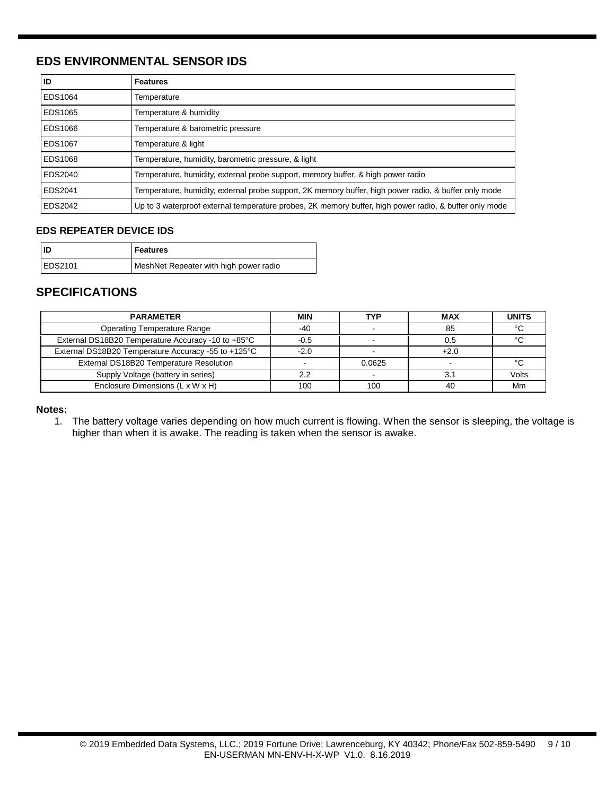# <span id="page-8-0"></span>**EDS ENVIRONMENTAL SENSOR IDS**

| ID      | <b>Features</b>                                                                                        |
|---------|--------------------------------------------------------------------------------------------------------|
| EDS1064 | Temperature                                                                                            |
| EDS1065 | Temperature & humidity                                                                                 |
| EDS1066 | Temperature & barometric pressure                                                                      |
| EDS1067 | Temperature & light                                                                                    |
| EDS1068 | Temperature, humidity, barometric pressure, & light                                                    |
| EDS2040 | Temperature, humidity, external probe support, memory buffer, & high power radio                       |
| EDS2041 | Temperature, humidity, external probe support, 2K memory buffer, high power radio, & buffer only mode  |
| EDS2042 | Up to 3 waterproof external temperature probes, 2K memory buffer, high power radio, & buffer only mode |

### **EDS REPEATER DEVICE IDS**

| ID             | <b>Features</b>                        |
|----------------|----------------------------------------|
| <b>EDS2101</b> | MeshNet Repeater with high power radio |

# **SPECIFICATIONS**

| <b>PARAMETER</b>                                    | <b>MIN</b> | TYP    | <b>MAX</b> | <b>UNITS</b> |
|-----------------------------------------------------|------------|--------|------------|--------------|
| <b>Operating Temperature Range</b>                  | $-40$      |        | 85         | °೧           |
| External DS18B20 Temperature Accuracy -10 to +85°C  | $-0.5$     |        | 0.5        | $\circ$      |
| External DS18B20 Temperature Accuracy -55 to +125°C | $-2.0$     |        | $+2.0$     |              |
| External DS18B20 Temperature Resolution             |            | 0.0625 |            | ഀ            |
| Supply Voltage (battery in series)                  | 2.2        |        | 3.1        | Volts        |
| Enclosure Dimensions (L x W x H)                    | 100        | 100    | 40         | Mm           |

#### **Notes:**

1. The battery voltage varies depending on how much current is flowing. When the sensor is sleeping, the voltage is higher than when it is awake. The reading is taken when the sensor is awake.